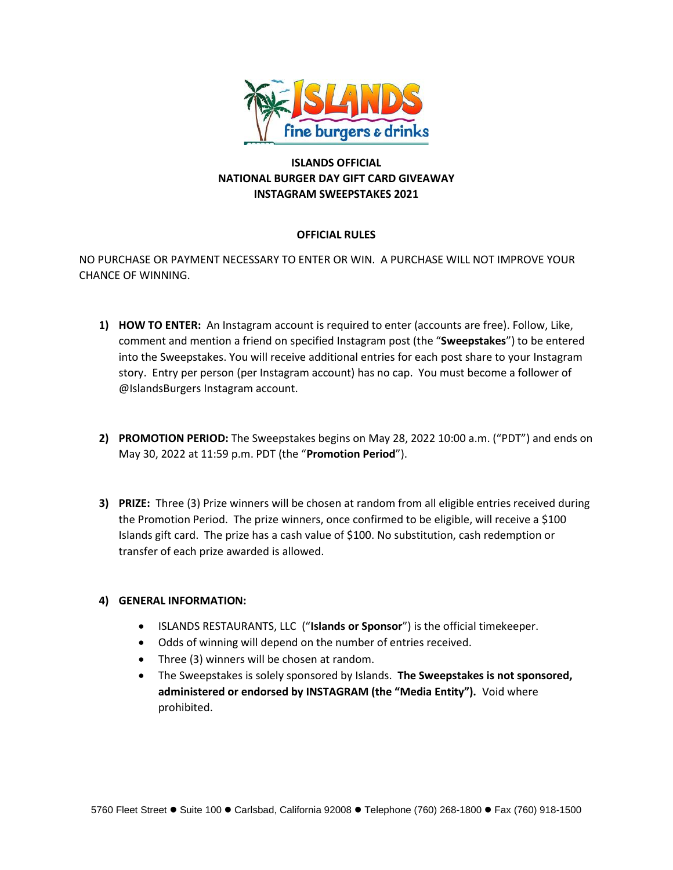

# **ISLANDS OFFICIAL NATIONAL BURGER DAY GIFT CARD GIVEAWAY INSTAGRAM SWEEPSTAKES 2021**

## **OFFICIAL RULES**

NO PURCHASE OR PAYMENT NECESSARY TO ENTER OR WIN. A PURCHASE WILL NOT IMPROVE YOUR CHANCE OF WINNING.

- **1) HOW TO ENTER:** An Instagram account is required to enter (accounts are free). Follow, Like, comment and mention a friend on specified Instagram post (the "**Sweepstakes**") to be entered into the Sweepstakes. You will receive additional entries for each post share to your Instagram story. Entry per person (per Instagram account) has no cap. You must become a follower of @IslandsBurgers Instagram account.
- **2) PROMOTION PERIOD:** The Sweepstakes begins on May 28, 2022 10:00 a.m. ("PDT") and ends on May 30, 2022 at 11:59 p.m. PDT (the "**Promotion Period**").
- **3) PRIZE:** Three (3) Prize winners will be chosen at random from all eligible entries received during the Promotion Period. The prize winners, once confirmed to be eligible, will receive a \$100 Islands gift card. The prize has a cash value of \$100. No substitution, cash redemption or transfer of each prize awarded is allowed.

# **4) GENERAL INFORMATION:**

- ISLANDS RESTAURANTS, LLC ("**Islands or Sponsor**") is the official timekeeper.
- Odds of winning will depend on the number of entries received.
- Three (3) winners will be chosen at random.
- The Sweepstakes is solely sponsored by Islands. **The Sweepstakes is not sponsored, administered or endorsed by INSTAGRAM (the "Media Entity").** Void where prohibited.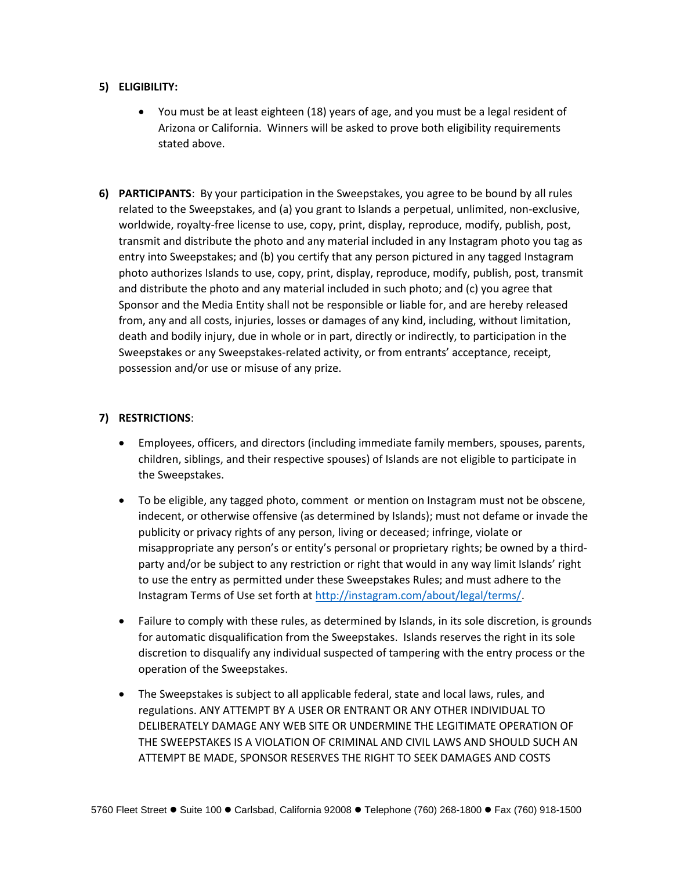#### **5) ELIGIBILITY:**

- You must be at least eighteen (18) years of age, and you must be a legal resident of Arizona or California. Winners will be asked to prove both eligibility requirements stated above.
- **6) PARTICIPANTS**: By your participation in the Sweepstakes, you agree to be bound by all rules related to the Sweepstakes, and (a) you grant to Islands a perpetual, unlimited, non-exclusive, worldwide, royalty-free license to use, copy, print, display, reproduce, modify, publish, post, transmit and distribute the photo and any material included in any Instagram photo you tag as entry into Sweepstakes; and (b) you certify that any person pictured in any tagged Instagram photo authorizes Islands to use, copy, print, display, reproduce, modify, publish, post, transmit and distribute the photo and any material included in such photo; and (c) you agree that Sponsor and the Media Entity shall not be responsible or liable for, and are hereby released from, any and all costs, injuries, losses or damages of any kind, including, without limitation, death and bodily injury, due in whole or in part, directly or indirectly, to participation in the Sweepstakes or any Sweepstakes-related activity, or from entrants' acceptance, receipt, possession and/or use or misuse of any prize.

## **7) RESTRICTIONS**:

- Employees, officers, and directors (including immediate family members, spouses, parents, children, siblings, and their respective spouses) of Islands are not eligible to participate in the Sweepstakes.
- To be eligible, any tagged photo, comment or mention on Instagram must not be obscene, indecent, or otherwise offensive (as determined by Islands); must not defame or invade the publicity or privacy rights of any person, living or deceased; infringe, violate or misappropriate any person's or entity's personal or proprietary rights; be owned by a thirdparty and/or be subject to any restriction or right that would in any way limit Islands' right to use the entry as permitted under these Sweepstakes Rules; and must adhere to the Instagram Terms of Use set forth at [http://instagram.com/about/legal/terms/.](http://instagram.com/about/legal/terms/)
- Failure to comply with these rules, as determined by Islands, in its sole discretion, is grounds for automatic disqualification from the Sweepstakes. Islands reserves the right in its sole discretion to disqualify any individual suspected of tampering with the entry process or the operation of the Sweepstakes.
- The Sweepstakes is subject to all applicable federal, state and local laws, rules, and regulations. ANY ATTEMPT BY A USER OR ENTRANT OR ANY OTHER INDIVIDUAL TO DELIBERATELY DAMAGE ANY WEB SITE OR UNDERMINE THE LEGITIMATE OPERATION OF THE SWEEPSTAKES IS A VIOLATION OF CRIMINAL AND CIVIL LAWS AND SHOULD SUCH AN ATTEMPT BE MADE, SPONSOR RESERVES THE RIGHT TO SEEK DAMAGES AND COSTS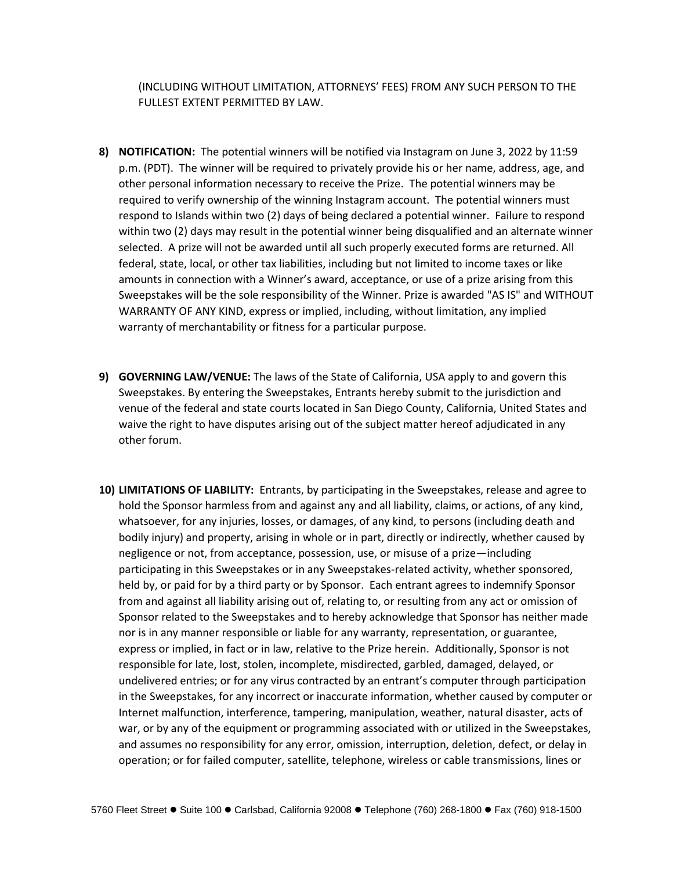(INCLUDING WITHOUT LIMITATION, ATTORNEYS' FEES) FROM ANY SUCH PERSON TO THE FULLEST EXTENT PERMITTED BY LAW.

- **8) NOTIFICATION:** The potential winners will be notified via Instagram on June 3, 2022 by 11:59 p.m. (PDT). The winner will be required to privately provide his or her name, address, age, and other personal information necessary to receive the Prize. The potential winners may be required to verify ownership of the winning Instagram account. The potential winners must respond to Islands within two (2) days of being declared a potential winner. Failure to respond within two (2) days may result in the potential winner being disqualified and an alternate winner selected. A prize will not be awarded until all such properly executed forms are returned. All federal, state, local, or other tax liabilities, including but not limited to income taxes or like amounts in connection with a Winner's award, acceptance, or use of a prize arising from this Sweepstakes will be the sole responsibility of the Winner. Prize is awarded "AS IS" and WITHOUT WARRANTY OF ANY KIND, express or implied, including, without limitation, any implied warranty of merchantability or fitness for a particular purpose.
- **9) GOVERNING LAW/VENUE:** The laws of the State of California, USA apply to and govern this Sweepstakes. By entering the Sweepstakes, Entrants hereby submit to the jurisdiction and venue of the federal and state courts located in San Diego County, California, United States and waive the right to have disputes arising out of the subject matter hereof adjudicated in any other forum.
- **10) LIMITATIONS OF LIABILITY:** Entrants, by participating in the Sweepstakes, release and agree to hold the Sponsor harmless from and against any and all liability, claims, or actions, of any kind, whatsoever, for any injuries, losses, or damages, of any kind, to persons (including death and bodily injury) and property, arising in whole or in part, directly or indirectly, whether caused by negligence or not, from acceptance, possession, use, or misuse of a prize—including participating in this Sweepstakes or in any Sweepstakes-related activity, whether sponsored, held by, or paid for by a third party or by Sponsor. Each entrant agrees to indemnify Sponsor from and against all liability arising out of, relating to, or resulting from any act or omission of Sponsor related to the Sweepstakes and to hereby acknowledge that Sponsor has neither made nor is in any manner responsible or liable for any warranty, representation, or guarantee, express or implied, in fact or in law, relative to the Prize herein. Additionally, Sponsor is not responsible for late, lost, stolen, incomplete, misdirected, garbled, damaged, delayed, or undelivered entries; or for any virus contracted by an entrant's computer through participation in the Sweepstakes, for any incorrect or inaccurate information, whether caused by computer or Internet malfunction, interference, tampering, manipulation, weather, natural disaster, acts of war, or by any of the equipment or programming associated with or utilized in the Sweepstakes, and assumes no responsibility for any error, omission, interruption, deletion, defect, or delay in operation; or for failed computer, satellite, telephone, wireless or cable transmissions, lines or